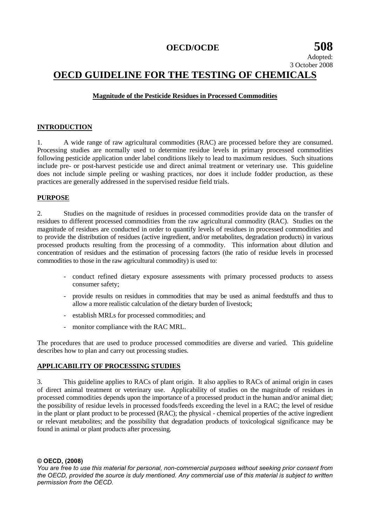## **OECD GUIDELINE FOR THE TESTING OF CHEMICALS**

### **Magnitude of the Pesticide Residues in Processed Commodities**

#### **INTRODUCTION**

1. A wide range of raw agricultural commodities (RAC) are processed before they are consumed. Processing studies are normally used to determine residue levels in primary processed commodities following pesticide application under label conditions likely to lead to maximum residues. Such situations include pre- or post-harvest pesticide use and direct animal treatment or veterinary use. This guideline does not include simple peeling or washing practices, nor does it include fodder production, as these practices are generally addressed in the supervised residue field trials.

### **PURPOSE**

2. Studies on the magnitude of residues in processed commodities provide data on the transfer of residues to different processed commodities from the raw agricultural commodity (RAC). Studies on the magnitude of residues are conducted in order to quantify levels of residues in processed commodities and to provide the distribution of residues (active ingredient, and/or metabolites, degradation products) in various processed products resulting from the processing of a commodity. This information about dilution and concentration of residues and the estimation of processing factors (the ratio of residue levels in processed commodities to those in the raw agricultural commodity) is used to:

- conduct refined dietary exposure assessments with primary processed products to assess consumer safety;
- provide results on residues in commodities that may be used as animal feedstuffs and thus to allow a more realistic calculation of the dietary burden of livestock;
- establish MRLs for processed commodities; and
- monitor compliance with the RAC MRL.

The procedures that are used to produce processed commodities are diverse and varied. This guideline describes how to plan and carry out processing studies.

#### **APPLICABILITY OF PROCESSING STUDIES**

3. This guideline applies to RACs of plant origin. It also applies to RACs of animal origin in cases of direct animal treatment or veterinary use. Applicability of studies on the magnitude of residues in processed commodities depends upon the importance of a processed product in the human and/or animal diet; the possibility of residue levels in processed foods/feeds exceeding the level in a RAC; the level of residue in the plant or plant product to be processed (RAC); the physical - chemical properties of the active ingredient or relevant metabolites; and the possibility that degradation products of toxicological significance may be found in animal or plant products after processing.

#### **© OECD, (2008)**

*You are free to use this material for personal, non-commercial purposes without seeking prior consent from the OECD, provided the source is duly mentioned. Any commercial use of this material is subject to written permission from the OECD.*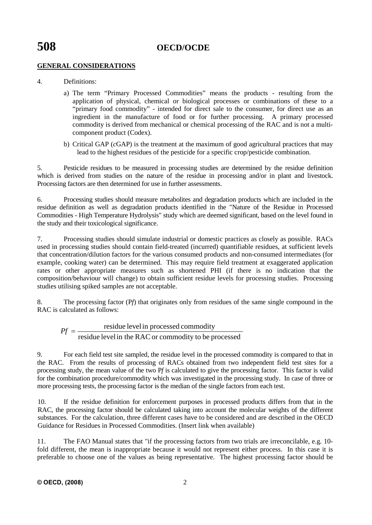## **GENERAL CONSIDERATIONS**

## 4. Definitions:

- a) The term "Primary Processed Commodities" means the products resulting from the application of physical, chemical or biological processes or combinations of these to a "primary food commodity" - intended for direct sale to the consumer, for direct use as an ingredient in the manufacture of food or for further processing. A primary processed commodity is derived from mechanical or chemical processing of the RAC and is not a multicomponent product (Codex).
- b) Critical GAP (*c*GAP) is the treatment at the maximum of good agricultural practices that may lead to the highest residues of the pesticide for a specific crop/pesticide combination.

5. Pesticide residues to be measured in processing studies are determined by the residue definition which is derived from studies on the nature of the residue in processing and/or in plant and livestock. Processing factors are then determined for use in further assessments.

6. Processing studies should measure metabolites and degradation products which are included in the residue definition as well as degradation products identified in the "Nature of the Residue in Processed Commodities - High Temperature Hydrolysis" study which are deemed significant, based on the level found in the study and their toxicological significance.

7. Processing studies should simulate industrial or domestic practices as closely as possible. RACs used in processing studies should contain field-treated (incurred) quantifiable residues, at sufficient levels that concentration/dilution factors for the various consumed products and non-consumed intermediates (for example, cooking water) can be determined. This may require field treatment at exaggerated application rates or other appropriate measures such as shortened PHI (if there is no indication that the composition/behaviour will change) to obtain sufficient residue levels for processing studies. Processing studies utilising spiked samples are not acceptable.

8. The processing factor (P*f*) that originates only from residues of the same single compound in the RAC is calculated as follows:

$$
Pf = \frac{\text{residue level in processed commodity}}{\text{residue level in the RAC or commodity to be processed}}
$$

9. For each field test site sampled, the residue level in the processed commodity is compared to that in the RAC. From the results of processing of RACs obtained from two independent field test sites for a processing study, the mean value of the two P*f* is calculated to give the processing factor. This factor is valid for the combination procedure/commodity which was investigated in the processing study. In case of three or more processing tests, the processing factor is the median of the single factors from each test.

10. If the residue definition for enforcement purposes in processed products differs from that in the RAC, the processing factor should be calculated taking into account the molecular weights of the different substances. For the calculation, three different cases have to be considered and are described in the OECD Guidance for Residues in Processed Commodities. (Insert link when available)

11. The FAO Manual states that "if the processing factors from two trials are irreconcilable, e.g. 10 fold different, the mean is inappropriate because it would not represent either process. In this case it is preferable to choose one of the values as being representative. The highest processing factor should be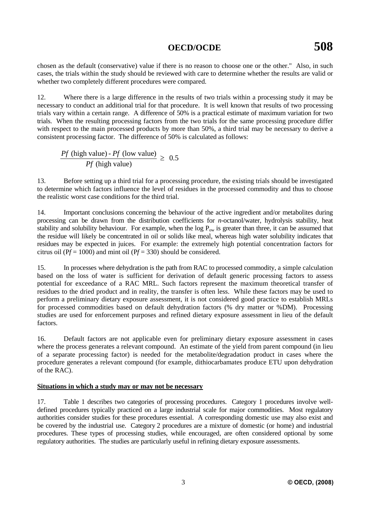chosen as the default (conservative) value if there is no reason to choose one or the other." Also, in such cases, the trials within the study should be reviewed with care to determine whether the results are valid or whether two completely different procedures were compared.

12. Where there is a large difference in the results of two trials within a processing study it may be necessary to conduct an additional trial for that procedure. It is well known that results of two processing trials vary within a certain range. A difference of 50% is a practical estimate of maximum variation for two trials. When the resulting processing factors from the two trials for the same processing procedure differ with respect to the main processed products by more than 50%, a third trial may be necessary to derive a consistent processing factor. The difference of 50% is calculated as follows:

$$
\frac{Pf \text{ (high value)} - Pf \text{ (low value)}}{Pf \text{ (high value)}} \geq 0.5
$$

13. Before setting up a third trial for a processing procedure, the existing trials should be investigated to determine which factors influence the level of residues in the processed commodity and thus to choose the realistic worst case conditions for the third trial.

14. Important conclusions concerning the behaviour of the active ingredient and/or metabolites during processing can be drawn from the distribution coefficients for *n*-octanol/water, hydrolysis stability, heat stability and solubility behaviour. For example, when the log  $P_{ow}$  is greater than three, it can be assumed that the residue will likely be concentrated in oil or solids like meal, whereas high water solubility indicates that residues may be expected in juices. For example: the extremely high potential concentration factors for citrus oil (P*f* = 1000) and mint oil (P*f* = 330) should be considered.

15. In processes where dehydration is the path from RAC to processed commodity, a simple calculation based on the loss of water is sufficient for derivation of default generic processing factors to assess potential for exceedance of a RAC MRL. Such factors represent the maximum theoretical transfer of residues to the dried product and in reality, the transfer is often less. While these factors may be used to perform a preliminary dietary exposure assessment, it is not considered good practice to establish MRLs for processed commodities based on default dehydration factors (% dry matter or %DM). Processing studies are used for enforcement purposes and refined dietary exposure assessment in lieu of the default factors.

16. Default factors are not applicable even for preliminary dietary exposure assessment in cases where the process generates a relevant compound. An estimate of the yield from parent compound (in lieu of a separate processing factor) is needed for the metabolite/degradation product in cases where the procedure generates a relevant compound (for example, dithiocarbamates produce ETU upon dehydration of the RAC).

#### **Situations in which a study may or may not be necessary**

17. Table 1 describes two categories of processing procedures. Category 1 procedures involve welldefined procedures typically practiced on a large industrial scale for major commodities. Most regulatory authorities consider studies for these procedures essential. A corresponding domestic use may also exist and be covered by the industrial use. Category 2 procedures are a mixture of domestic (or home) and industrial procedures. These types of processing studies, while encouraged, are often considered optional by some regulatory authorities. The studies are particularly useful in refining dietary exposure assessments.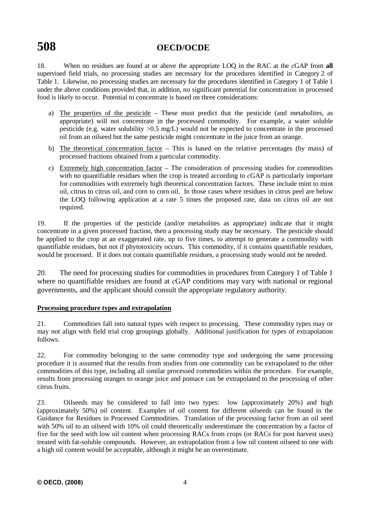18. When no residues are found at or above the appropriate LOQ in the RAC at the *c*GAP from **all** supervised field trials, no processing studies are necessary for the procedures identified in Category 2 of Table 1. Likewise, no processing studies are necessary for the procedures identified in Category 1 of Table 1 under the above conditions provided that, in addition, no significant potential for concentration in processed food is likely to occur. Potential to concentrate is based on three considerations:

- a) The properties of the pesticide These must predict that the pesticide (and metabolites, as appropriate) will not concentrate in the processed commodity. For example, a water soluble pesticide (e.g. water solubility >0.5 mg/L) would not be expected to concentrate in the processed oil from an oilseed but the same pesticide might concentrate in the juice from an orange.
- b) The theoretical concentration factor This is based on the relative percentages (by mass) of processed fractions obtained from a particular commodity.
- c) Extremely high concentration factor The consideration of processing studies for commodities with no quantifiable residues when the crop is treated according to *c*GAP is particularly important for commodities with extremely high theoretical concentration factors. These include mint to mint oil, citrus to citrus oil, and corn to corn oil. In those cases where residues in citrus peel are below the LOQ following application at a rate 5 times the proposed rate, data on citrus oil are not required.

19. If the properties of the pesticide (and/or metabolites as appropriate) indicate that it might concentrate in a given processed fraction, then a processing study may be necessary. The pesticide should be applied to the crop at an exaggerated rate, up to five times, to attempt to generate a commodity with quantifiable residues, but not if phytotoxicity occurs. This commodity, if it contains quantifiable residues, would be processed. If it does not contain quantifiable residues, a processing study would not be needed.

20. The need for processing studies for commodities in procedures from Category 1 of Table 1 where no quantifiable residues are found at *c*GAP conditions may vary with national or regional governments, and the applicant should consult the appropriate regulatory authority.

#### **Processing procedure types and extrapolation**

21. Commodities fall into natural types with respect to processing. These commodity types may or may not align with field trial crop groupings globally. Additional justification for types of extrapolation follows.

22. For commodity belonging to the same commodity type and undergoing the same processing procedure it is assumed that the results from studies from one commodity can be extrapolated to the other commodities of this type, including all similar processed commodities within the procedure. For example, results from processing oranges to orange juice and pomace can be extrapolated to the processing of other citrus fruits.

23. Oilseeds may be considered to fall into two types: low (approximately 20%) and high (approximately 50%) oil content. Examples of oil content for different oilseeds can be found in the Guidance for Residues in Processed Commodities. Translation of the processing factor from an oil seed with 50% oil to an oilseed with 10% oil could theoretically underestimate the concentration by a factor of five for the seed with low oil content when processing RACs from crops (or RACs for post harvest uses) treated with fat-soluble compounds. However, an extrapolation from a low oil content oilseed to one with a high oil content would be acceptable, although it might be an overestimate.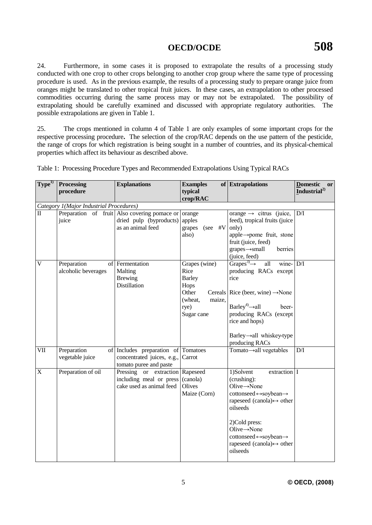24. Furthermore, in some cases it is proposed to extrapolate the results of a processing study conducted with one crop to other crops belonging to another crop group where the same type of processing procedure is used. As in the previous example, the results of a processing study to prepare orange juice from oranges might be translated to other tropical fruit juices. In these cases, an extrapolation to other processed commodities occurring during the same process may or may not be extrapolated. The possibility of extrapolating should be carefully examined and discussed with appropriate regulatory authorities. The possible extrapolations are given in Table 1.

25. The crops mentioned in column 4 of Table 1 are only examples of some important crops for the respective processing procedure**.** The selection of the crop/RAC depends on the use pattern of the pesticide, the range of crops for which registration is being sought in a number of countries, and its physical-chemical properties which affect its behaviour as described above.

| Type <sup>1</sup>                       | Processing<br>procedure            | <b>Explanations</b>                                                                          | <b>Examples</b><br>typical                                                                         | of Extrapolations                                                                                                                                                                                                                                                                     | Domestic<br><b>or</b><br>Industrial <sup>2)</sup> |  |  |  |
|-----------------------------------------|------------------------------------|----------------------------------------------------------------------------------------------|----------------------------------------------------------------------------------------------------|---------------------------------------------------------------------------------------------------------------------------------------------------------------------------------------------------------------------------------------------------------------------------------------|---------------------------------------------------|--|--|--|
|                                         |                                    |                                                                                              | crop/RAC                                                                                           |                                                                                                                                                                                                                                                                                       |                                                   |  |  |  |
| Category 1(Major Industrial Procedures) |                                    |                                                                                              |                                                                                                    |                                                                                                                                                                                                                                                                                       |                                                   |  |  |  |
| $\rm II$                                | juice                              | Preparation of fruit Also covering pomace or<br>dried pulp (byproducts)<br>as an animal feed | orange<br>apples<br>$(see$ #V<br>grapes<br>also)                                                   | orange $\rightarrow$ citrus (juice,<br>feed), tropical fruits (juice<br>only)<br>apple $\rightarrow$ pome fruit, stone<br>fruit (juice, feed)<br>$grapes \rightarrow small$<br>berries<br>(juice, feed)                                                                               | D/I                                               |  |  |  |
| $\overline{\mathsf{V}}$                 | Preparation<br>alcoholic beverages | of Fermentation<br>Malting<br><b>Brewing</b><br>Distillation                                 | Grapes (wine)<br>Rice<br><b>Barley</b><br>Hops<br>Other<br>(wheat,<br>maize,<br>rye)<br>Sugar cane | Grapes <sup>3)</sup> $\rightarrow$<br>all<br>wine-<br>producing RACs except<br>rice<br>Cereals Rice (beer, wine) $\rightarrow$ None<br>$Barley4)\rightarrow all$<br>beer-<br>producing RACs (except<br>rice and hops)<br>Barley→all whiskey-type<br>producing RACs                    | D/I                                               |  |  |  |
| <b>VII</b>                              | Preparation<br>vegetable juice     | of Includes preparation of Tomatoes<br>concentrated juices, e.g.,<br>tomato puree and paste  | Carrot                                                                                             | Tomato→all vegetables                                                                                                                                                                                                                                                                 | D/I                                               |  |  |  |
| $\overline{\mathbf{X}}$                 | Preparation of oil                 | Pressing or extraction Rapeseed<br>including meal or press<br>cake used as animal feed       | (canola)<br>Olives<br>Maize (Corn)                                                                 | 1)Solvent<br>extraction I<br>(crushing):<br>Olive $\rightarrow$ None<br>cottonseed ↔ soybean→<br>rapeseed (canola) $\leftrightarrow$ other<br>oilseeds<br>2)Cold press:<br>Olive $\rightarrow$ None<br>cottonseed ↔ soybean→<br>rapeseed (canola) $\leftrightarrow$ other<br>oilseeds |                                                   |  |  |  |

Table 1: Processing Procedure Types and Recommended Extrapolations Using Typical RACs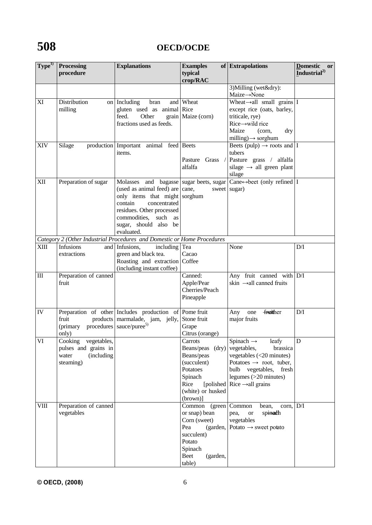| Type <sup>1</sup>      | Processing<br>procedure                                                         | <b>Explanations</b>                                                                                                                                                                        | <b>Examples</b><br>typical<br>crop/RAC                                                                                               | of Extrapolations                                                                                                                                                                                            | <b>Domestic</b><br>or<br>Industrial <sup>2)</sup> |
|------------------------|---------------------------------------------------------------------------------|--------------------------------------------------------------------------------------------------------------------------------------------------------------------------------------------|--------------------------------------------------------------------------------------------------------------------------------------|--------------------------------------------------------------------------------------------------------------------------------------------------------------------------------------------------------------|---------------------------------------------------|
|                        |                                                                                 |                                                                                                                                                                                            |                                                                                                                                      | 3) Milling (wet & dry):<br>Maize→None                                                                                                                                                                        |                                                   |
| XI                     | Distribution<br>milling                                                         | bran<br>on $\boxed{\text{Including}}$<br>gluten used as animal Rice<br>feed.<br>Other<br>fractions used as feeds.                                                                          | and Wheat<br>grain Maize (corn)                                                                                                      | Wheat $\rightarrow$ all small grains I<br>except rice (oats, barley,<br>triticale, rye)<br>$Rice \rightarrow wild$ rice<br>Maize<br>(corn,<br>dry<br>milling) $\rightarrow$ sorghum                          |                                                   |
| <b>XIV</b>             | Silage                                                                          | production   Important animal feed   Beets<br>items.                                                                                                                                       | Pasture Grass /<br>alfalfa                                                                                                           | Beets (pulp) $\rightarrow$ roots and I<br>tubers<br>Pasture grass / alfalfa<br>silage $\rightarrow$ all green plant<br>silage                                                                                |                                                   |
| XII                    | Preparation of sugar                                                            | (used as animal feed) are cane,<br>only items that might sorghum<br>contain<br>concentrated<br>residues. Other processed<br>commodities, such<br>as<br>sugar, should also be<br>evaluated. |                                                                                                                                      | Molasses and bagasse sugar beets, sugar Cane $\leftrightarrow$ beet (only refined I<br>sweet sugar)                                                                                                          |                                                   |
|                        |                                                                                 | Category 2 (Other Industrial Procedures and Domestic or Home Procedures                                                                                                                    |                                                                                                                                      |                                                                                                                                                                                                              |                                                   |
| <b>XIII</b>            | Infusions<br>extractions                                                        | including Tea<br>and Infusions,<br>green and black tea.<br>Roasting and extraction Coffee<br>(including instant coffee)                                                                    | Cacao                                                                                                                                | None                                                                                                                                                                                                         | D/I                                               |
| III                    | Preparation of canned<br>fruit                                                  |                                                                                                                                                                                            | Canned:<br>Apple/Pear<br>Cherries/Peach<br>Pineapple                                                                                 | Any fruit canned with D/I<br>skin $\rightarrow$ all canned fruits                                                                                                                                            |                                                   |
| IV                     | fruit<br>(primary procedures sauce/puree <sup>5)</sup><br>only)                 | Preparation of other Includes production of Pome fruit<br>products marmalade, jam, jelly,                                                                                                  | Stone fruit<br>Grape<br>Citrus (orange)                                                                                              | froither<br>Any<br>one<br>major fruits                                                                                                                                                                       | D/I                                               |
| $\mathbf{V}\mathbf{I}$ | Cooking vegetables,<br>pulses and grains in<br>(including<br>water<br>steaming) |                                                                                                                                                                                            | Carrots<br>Beans/peas (dry) vegetables,<br>Beans/peas<br>(succulent)<br>Potatoes<br>Spinach<br>Rice<br>(white) or husked<br>(brown)] | Spinach $\rightarrow$ leafy<br>brassica<br>vegetables $(<20$ minutes)<br>Potatoes $\rightarrow$ root, tuber,<br>bulb vegetables, fresh<br>legumes $(>20$ minutes)<br>[polished Rice $\rightarrow$ all grains | $\overline{D}$                                    |
| <b>VIII</b>            | Preparation of canned<br>vegetables                                             |                                                                                                                                                                                            | Common (green<br>or snap) bean<br>Corn (sweet)<br>Pea<br>succulent)<br>Potato<br>Spinach<br>Beet<br>(garden,<br>table)               | Common<br>bean,<br>corn.<br>spinadh<br>pea,<br><b>or</b><br>vegetables<br>$\left($ garden, Potato $\rightarrow$ sweet potato                                                                                 | D/I                                               |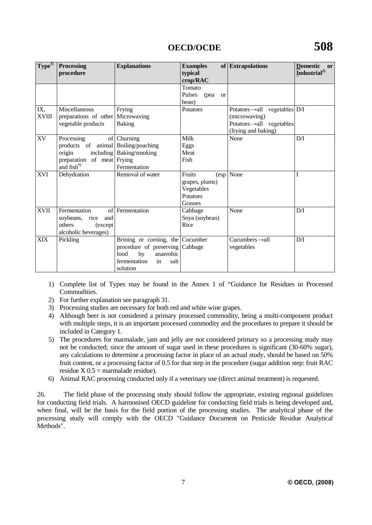| Type <sup>1</sup>   | <b>Processing</b><br>procedure                                                                           | <b>Explanations</b>                                                                                                              | <b>Examples</b><br>of<br>typical<br>crop/RAC                  | <b>Extrapolations</b>                                                                                                      | <b>Domestic</b><br>or<br>Industrial <sup>2)</sup> |
|---------------------|----------------------------------------------------------------------------------------------------------|----------------------------------------------------------------------------------------------------------------------------------|---------------------------------------------------------------|----------------------------------------------------------------------------------------------------------------------------|---------------------------------------------------|
|                     |                                                                                                          |                                                                                                                                  | Tomato<br>Pulses<br>(pea or<br>bean)                          |                                                                                                                            |                                                   |
| IX,<br><b>XVIII</b> | Miscellaneous<br>preparations of other Microwaving<br>vegetable products                                 | Frying<br>Baking                                                                                                                 | Potatoes                                                      | Potatoes $\rightarrow$ all vegetables D/I<br>(microwaving)<br>Potatoes $\rightarrow$ all vegetables<br>(frying and baking) |                                                   |
| XV                  | Processing<br>products of animal Boiling/poaching<br>origin<br>preparation of meat Frying<br>and $fish6$ | of Churning<br>including Baking/smoking<br>Fermentation                                                                          | Milk<br>Eggs<br>Meat<br>Fish                                  | None                                                                                                                       | D/I                                               |
| <b>XVI</b>          | Dehydration                                                                                              | Removal of water                                                                                                                 | Fruits<br>grapes, plums)<br>Vegetables<br>Potatoes<br>Grasses | (esp None                                                                                                                  |                                                   |
| <b>XVII</b>         | Fermentation<br>and<br>soybeans, rice<br>others<br>(except<br>alcoholic beverages)                       | of Fermentation                                                                                                                  | Cabbage<br>Soya (soybean)<br>Rice                             | None                                                                                                                       | D/I                                               |
| <b>XIX</b>          | Pickling                                                                                                 | Brining or corning, the Cucumber<br>procedure of preserving<br>food<br>by<br>anaerobic<br>fermentation<br>salt<br>in<br>solution | Cabbage                                                       | $Cucumbers \rightarrow all$<br>vegetables                                                                                  | D/I                                               |

- 1) Complete list of Types may be found in the Annex 1 of "Guidance for Residues in Processed Commodities.
- 2) For further explanation see paragraph 31.
- 3) Processing studies are necessary for both red and white wine grapes.
- 4) Although beer is not considered a primary processed commodity, being a multi-component product with multiple steps, it is an important processed commodity and the procedures to prepare it should be included in Category 1.
- 5) The procedures for marmalade, jam and jelly are not considered primary so a processing study may not be conducted; since the amount of sugar used in these procedures is significant (30-60% sugar), any calculations to determine a processing factor in place of an actual study, should be based on 50% fruit content, or a processing factor of 0.5 for that step in the procedure (sugar addition step: fruit RAC residue  $X$  0.5 = marmalade residue).
- 6) Animal RAC processing conducted only if a veterinary use (direct animal treatment) is requested.

26. The field phase of the processing study should follow the appropriate, existing regional guidelines for conducting field trials. A harmonised OECD guideline for conducting field trials is being developed and, when final, will be the basis for the field portion of the processing studies. The analytical phase of the processing study will comply with the OECD "Guidance Document on Pesticide Residue Analytical Methods".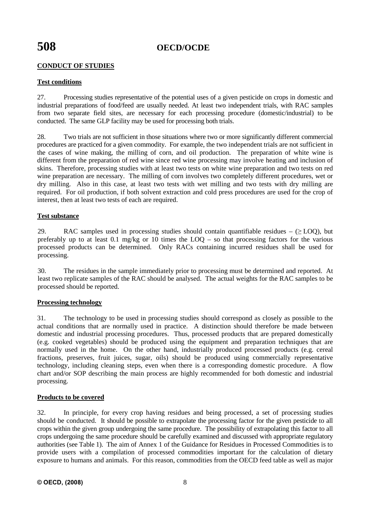#### **CONDUCT OF STUDIES**

#### **Test conditions**

27. Processing studies representative of the potential uses of a given pesticide on crops in domestic and industrial preparations of food/feed are usually needed. At least two independent trials, with RAC samples from two separate field sites, are necessary for each processing procedure (domestic/industrial) to be conducted. The same GLP facility may be used for processing both trials.

28. Two trials are not sufficient in those situations where two or more significantly different commercial procedures are practiced for a given commodity. For example, the two independent trials are not sufficient in the cases of wine making, the milling of corn, and oil production. The preparation of white wine is different from the preparation of red wine since red wine processing may involve heating and inclusion of skins. Therefore, processing studies with at least two tests on white wine preparation and two tests on red wine preparation are necessary. The milling of corn involves two completely different procedures, wet or dry milling. Also in this case, at least two tests with wet milling and two tests with dry milling are required. For oil production, if both solvent extraction and cold press procedures are used for the crop of interest, then at least two tests of each are required.

#### **Test substance**

29. RAC samples used in processing studies should contain quantifiable residues –  $(\geq$  LOQ), but preferably up to at least 0.1 mg/kg or 10 times the  $LOQ -$  so that processing factors for the various processed products can be determined. Only RACs containing incurred residues shall be used for processing.

30. The residues in the sample immediately prior to processing must be determined and reported. At least two replicate samples of the RAC should be analysed. The actual weights for the RAC samples to be processed should be reported.

#### **Processing technology**

31. The technology to be used in processing studies should correspond as closely as possible to the actual conditions that are normally used in practice. A distinction should therefore be made between domestic and industrial processing procedures. Thus, processed products that are prepared domestically (e.g. cooked vegetables) should be produced using the equipment and preparation techniques that are normally used in the home. On the other hand, industrially produced processed products (e.g. cereal fractions, preserves, fruit juices, sugar, oils) should be produced using commercially representative technology, including cleaning steps, even when there is a corresponding domestic procedure. A flow chart and/or SOP describing the main process are highly recommended for both domestic and industrial processing.

#### **Products to be covered**

32. In principle, for every crop having residues and being processed, a set of processing studies should be conducted. It should be possible to extrapolate the processing factor for the given pesticide to all crops within the given group undergoing the same procedure. The possibility of extrapolating this factor to all crops undergoing the same procedure should be carefully examined and discussed with appropriate regulatory authorities (see Table 1). The aim of Annex 1 of the Guidance for Residues in Processed Commodities is to provide users with a compilation of processed commodities important for the calculation of dietary exposure to humans and animals. For this reason, commodities from the OECD feed table as well as major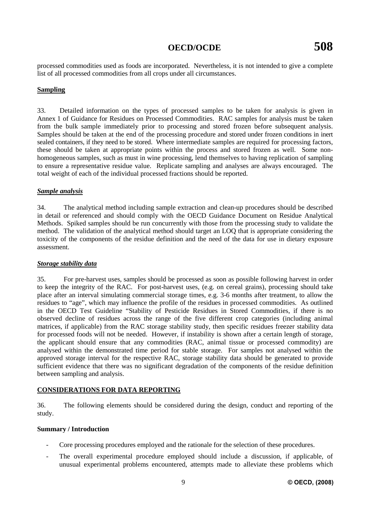processed commodities used as foods are incorporated. Nevertheless, it is not intended to give a complete list of all processed commodities from all crops under all circumstances.

#### **Sampling**

33. Detailed information on the types of processed samples to be taken for analysis is given in Annex 1 of Guidance for Residues on Processed Commodities. RAC samples for analysis must be taken from the bulk sample immediately prior to processing and stored frozen before subsequent analysis. Samples should be taken at the end of the processing procedure and stored under frozen conditions in inert sealed containers, if they need to be stored. Where intermediate samples are required for processing factors, these should be taken at appropriate points within the process and stored frozen as well. Some nonhomogeneous samples, such as must in wine processing, lend themselves to having replication of sampling to ensure a representative residue value. Replicate sampling and analyses are always encouraged. The total weight of each of the individual processed fractions should be reported.

### *Sample analysis*

34. The analytical method including sample extraction and clean-up procedures should be described in detail or referenced and should comply with the OECD Guidance Document on Residue Analytical Methods. Spiked samples should be run concurrently with those from the processing study to validate the method. The validation of the analytical method should target an LOQ that is appropriate considering the toxicity of the components of the residue definition and the need of the data for use in dietary exposure assessment.

#### *Storage stability data*

35. For pre-harvest uses, samples should be processed as soon as possible following harvest in order to keep the integrity of the RAC. For post-harvest uses, (e.g. on cereal grains), processing should take place after an interval simulating commercial storage times, e.g. 3-6 months after treatment, to allow the residues to "age", which may influence the profile of the residues in processed commodities. As outlined in the OECD Test Guideline "Stability of Pesticide Residues in Stored Commodities, if there is no observed decline of residues across the range of the five different crop categories (including animal matrices, if applicable) from the RAC storage stability study, then specific residues freezer stability data for processed foods will not be needed. However, if instability is shown after a certain length of storage, the applicant should ensure that any commodities (RAC, animal tissue or processed commodity) are analysed within the demonstrated time period for stable storage. For samples not analysed within the approved storage interval for the respective RAC, storage stability data should be generated to provide sufficient evidence that there was no significant degradation of the components of the residue definition between sampling and analysis.

#### **CONSIDERATIONS FOR DATA REPORTING**

36. The following elements should be considered during the design, conduct and reporting of the study.

#### **Summary / Introduction**

- Core processing procedures employed and the rationale for the selection of these procedures.
- The overall experimental procedure employed should include a discussion, if applicable, of unusual experimental problems encountered, attempts made to alleviate these problems which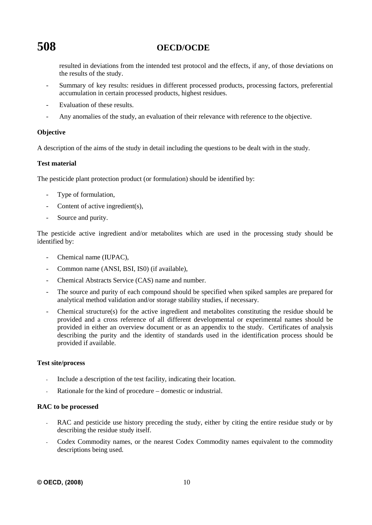resulted in deviations from the intended test protocol and the effects, if any, of those deviations on the results of the study.

- Summary of key results: residues in different processed products, processing factors, preferential accumulation in certain processed products, highest residues.
- Evaluation of these results.
- Any anomalies of the study, an evaluation of their relevance with reference to the objective.

### **Objective**

A description of the aims of the study in detail including the questions to be dealt with in the study.

### **Test material**

The pesticide plant protection product (or formulation) should be identified by:

- Type of formulation,
- Content of active ingredient(s),
- Source and purity.

The pesticide active ingredient and/or metabolites which are used in the processing study should be identified by:

- Chemical name (IUPAC),
- Common name (ANSI, BSI, IS0) (if available),
- Chemical Abstracts Service (CAS) name and number.
- The source and purity of each compound should be specified when spiked samples are prepared for analytical method validation and/or storage stability studies, if necessary.
- Chemical structure(s) for the active ingredient and metabolites constituting the residue should be provided and a cross reference of all different developmental or experimental names should be provided in either an overview document or as an appendix to the study. Certificates of analysis describing the purity and the identity of standards used in the identification process should be provided if available.

#### **Test site/process**

- Include a description of the test facility, indicating their location.
- Rationale for the kind of procedure domestic or industrial.

#### **RAC to be processed**

- RAC and pesticide use history preceding the study, either by citing the entire residue study or by describing the residue study itself.
- Codex Commodity names, or the nearest Codex Commodity names equivalent to the commodity descriptions being used.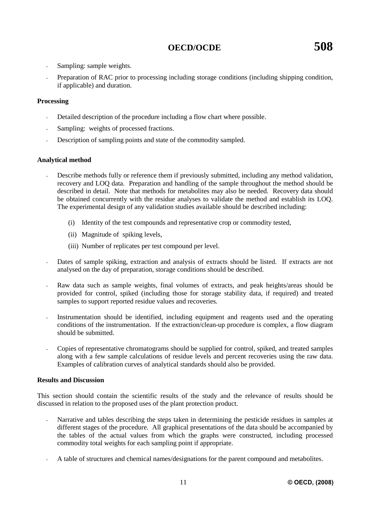- Sampling: sample weights.
- Preparation of RAC prior to processing including storage conditions (including shipping condition, if applicable) and duration.

#### **Processing**

- Detailed description of the procedure including a flow chart where possible.
- Sampling: weights of processed fractions.
- Description of sampling points and state of the commodity sampled.

#### **Analytical method**

- Describe methods fully or reference them if previously submitted, including any method validation, recovery and LOQ data. Preparation and handling of the sample throughout the method should be described in detail. Note that methods for metabolites may also be needed. Recovery data should be obtained concurrently with the residue analyses to validate the method and establish its LOQ. The experimental design of any validation studies available should be described including:
	- (i) Identity of the test compounds and representative crop or commodity tested,
	- (ii) Magnitude of spiking levels,
	- (iii) Number of replicates per test compound per level.
- Dates of sample spiking, extraction and analysis of extracts should be listed. If extracts are not analysed on the day of preparation, storage conditions should be described.
- Raw data such as sample weights, final volumes of extracts, and peak heights/areas should be provided for control, spiked (including those for storage stability data, if required) and treated samples to support reported residue values and recoveries.
- Instrumentation should be identified, including equipment and reagents used and the operating conditions of the instrumentation. If the extraction/clean-up procedure is complex, a flow diagram should be submitted.
- Copies of representative chromatograms should be supplied for control, spiked, and treated samples along with a few sample calculations of residue levels and percent recoveries using the raw data. Examples of calibration curves of analytical standards should also be provided.

#### **Results and Discussion**

This section should contain the scientific results of the study and the relevance of results should be discussed in relation to the proposed uses of the plant protection product.

- Narrative and tables describing the steps taken in determining the pesticide residues in samples at different stages of the procedure. All graphical presentations of the data should be accompanied by the tables of the actual values from which the graphs were constructed, including processed commodity total weights for each sampling point if appropriate.
- A table of structures and chemical names/designations for the parent compound and metabolites.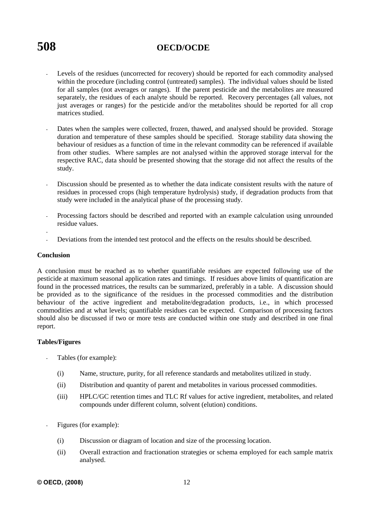- Levels of the residues (uncorrected for recovery) should be reported for each commodity analysed within the procedure (including control (untreated) samples). The individual values should be listed for all samples (not averages or ranges). If the parent pesticide and the metabolites are measured separately, the residues of each analyte should be reported. Recovery percentages (all values, not just averages or ranges) for the pesticide and/or the metabolites should be reported for all crop matrices studied.
- Dates when the samples were collected, frozen, thawed, and analysed should be provided. Storage duration and temperature of these samples should be specified. Storage stability data showing the behaviour of residues as a function of time in the relevant commodity can be referenced if available from other studies. Where samples are not analysed within the approved storage interval for the respective RAC, data should be presented showing that the storage did not affect the results of the study.
- Discussion should be presented as to whether the data indicate consistent results with the nature of residues in processed crops (high temperature hydrolysis) study, if degradation products from that study were included in the analytical phase of the processing study.
- Processing factors should be described and reported with an example calculation using unrounded residue values.
- -
- Deviations from the intended test protocol and the effects on the results should be described.

### **Conclusion**

A conclusion must be reached as to whether quantifiable residues are expected following use of the pesticide at maximum seasonal application rates and timings. If residues above limits of quantification are found in the processed matrices, the results can be summarized, preferably in a table. A discussion should be provided as to the significance of the residues in the processed commodities and the distribution behaviour of the active ingredient and metabolite/degradation products, i.e., in which processed commodities and at what levels; quantifiable residues can be expected. Comparison of processing factors should also be discussed if two or more tests are conducted within one study and described in one final report.

### **Tables/Figures**

- Tables (for example):
	- (i) Name, structure, purity, for all reference standards and metabolites utilized in study.
	- (ii) Distribution and quantity of parent and metabolites in various processed commodities.
	- (iii) HPLC/GC retention times and TLC Rf values for active ingredient, metabolites, and related compounds under different column, solvent (elution) conditions.
- Figures (for example):
	- (i) Discussion or diagram of location and size of the processing location.
	- (ii) Overall extraction and fractionation strategies or schema employed for each sample matrix analysed.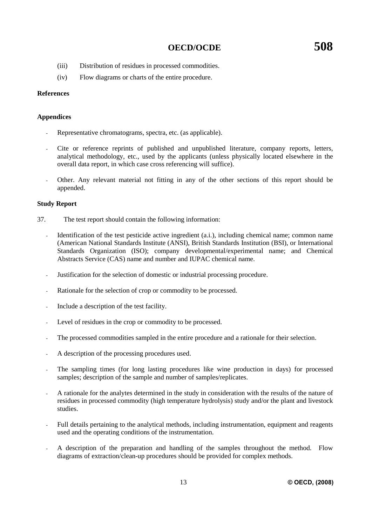- (iii) Distribution of residues in processed commodities.
- (iv) Flow diagrams or charts of the entire procedure.

### **References**

#### **Appendices**

- Representative chromatograms, spectra, etc. (as applicable).
- Cite or reference reprints of published and unpublished literature, company reports, letters, analytical methodology, etc., used by the applicants (unless physically located elsewhere in the overall data report, in which case cross referencing will suffice).
- Other. Any relevant material not fitting in any of the other sections of this report should be appended.

### **Study Report**

- 37. The test report should contain the following information:
	- Identification of the test pesticide active ingredient (a.i.), including chemical name; common name (American National Standards Institute (ANSI), British Standards Institution (BSI), or International Standards Organization (ISO); company developmental/experimental name; and Chemical Abstracts Service (CAS) name and number and IUPAC chemical name.
	- Justification for the selection of domestic or industrial processing procedure.
	- Rationale for the selection of crop or commodity to be processed.
	- Include a description of the test facility.
	- Level of residues in the crop or commodity to be processed.
	- The processed commodities sampled in the entire procedure and a rationale for their selection.
	- A description of the processing procedures used.
	- The sampling times (for long lasting procedures like wine production in days) for processed samples; description of the sample and number of samples/replicates.
	- A rationale for the analytes determined in the study in consideration with the results of the nature of residues in processed commodity (high temperature hydrolysis) study and/or the plant and livestock studies.
	- Full details pertaining to the analytical methods, including instrumentation, equipment and reagents used and the operating conditions of the instrumentation.
	- A description of the preparation and handling of the samples throughout the method. Flow diagrams of extraction/clean-up procedures should be provided for complex methods.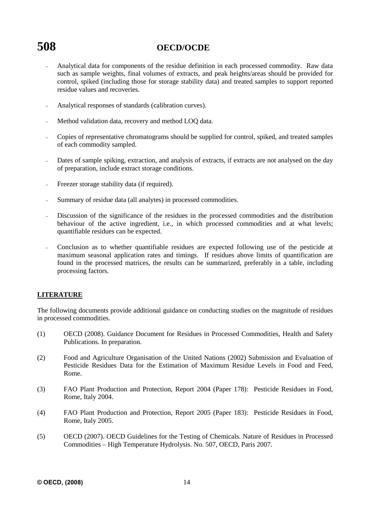- Analytical data for components of the residue definition in each processed commodity. Raw data such as sample weights, final volumes of extracts, and peak heights/areas should be provided for control, spiked (including those for storage stability data) and treated samples to support reported residue values and recoveries.
- Analytical responses of standards (calibration curves).
- Method validation data, recovery and method LOQ data.
- Copies of representative chromatograms should be supplied for control, spiked, and treated samples of each commodity sampled.
- Dates of sample spiking, extraction, and analysis of extracts, if extracts are not analysed on the day of preparation, include extract storage conditions.
- Freezer storage stability data (if required).
- Summary of residue data (all analytes) in processed commodities.
- Discussion of the significance of the residues in the processed commodities and the distribution behaviour of the active ingredient, i.e., in which processed commodities and at what levels; quantifiable residues can be expected.
- Conclusion as to whether quantifiable residues are expected following use of the pesticide at maximum seasonal application rates and timings. If residues above limits of quantification are found in the processed matrices, the results can be summarized, preferably in a table, including processing factors.

#### **LITERATURE**

The following documents provide additional guidance on conducting studies on the magnitude of residues in processed commodities.

- (1) OECD (2008). Guidance Document for Residues in Processed Commodities, Health and Safety Publications. In preparation.
- (2) Food and Agriculture Organisation of the United Nations (2002) Submission and Evaluation of Pesticide Residues Data for the Estimation of Maximum Residue Levels in Food and Feed, Rome.
- (3) FAO Plant Production and Protection, Report 2004 (Paper 178): Pesticide Residues in Food, Rome, Italy 2004.
- (4) FAO Plant Production and Protection, Report 2005 (Paper 183): Pesticide Residues in Food, Rome, Italy 2005.
- (5) OECD (2007). OECD Guidelines for the Testing of Chemicals. Nature of Residues in Processed Commodities – High Temperature Hydrolysis. No. 507, OECD, Paris 2007.